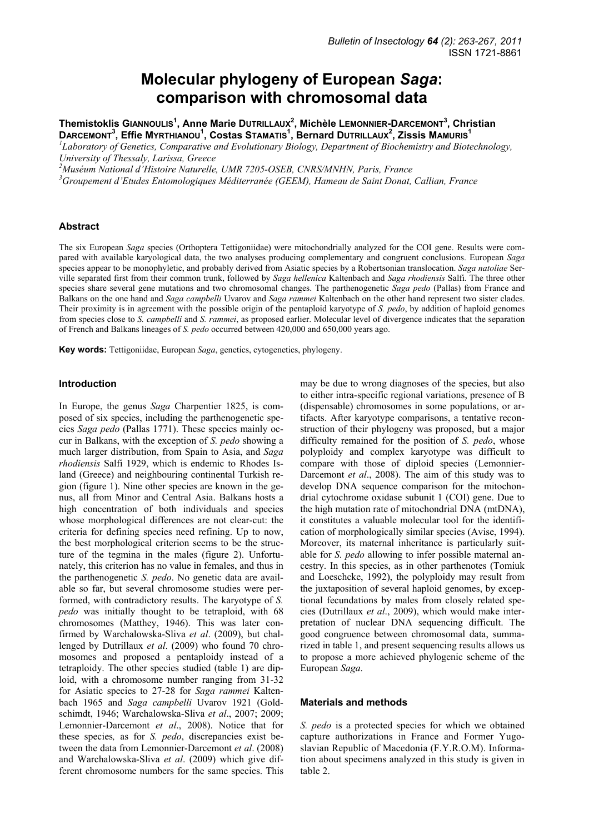# **Molecular phylogeny of European** *Saga***: comparison with chromosomal data**

**Themistoklis GIANNOULIS<sup>1</sup> , Anne Marie DUTRILLAUX<sup>2</sup> , Michèle LEMONNIER-DARCEMONT<sup>3</sup> , Christian DARCEMONT3 , Effie MYRTHIANOU<sup>1</sup> , Costas STAMATIS<sup>1</sup> , Bernard DUTRILLAUX<sup>2</sup> , Zissis MAMURIS<sup>1</sup>**

*1 Laboratory of Genetics, Comparative and Evolutionary Biology, Department of Biochemistry and Biotechnology, University of Thessaly, Larissa, Greece* 

<sup>2</sup> Muséum National d'Histoire Naturelle, UMR 7205-OSEB, CNRS/MNHN, Paris, France<br><sup>3</sup> Croupament d'Etudes Entemplogiques Méditerranée (CEEM), Hameau de Saint Donat

<sup>3</sup> Groupement d'Etudes Entomologiques Méditerranée (GEEM), Hameau de Saint Donat, Callian, France

### **Abstract**

The six European *Saga* species (Orthoptera Tettigoniidae) were mitochondrially analyzed for the COI gene. Results were compared with available karyological data, the two analyses producing complementary and congruent conclusions. European *Saga* species appear to be monophyletic, and probably derived from Asiatic species by a Robertsonian translocation. *Saga natoliae* Serville separated first from their common trunk, followed by *Saga hellenica* Kaltenbach and *Saga rhodiensis* Salfi. The three other species share several gene mutations and two chromosomal changes. The parthenogenetic *Saga pedo* (Pallas) from France and Balkans on the one hand and *Saga campbelli* Uvarov and *Saga rammei* Kaltenbach on the other hand represent two sister clades. Their proximity is in agreement with the possible origin of the pentaploid karyotype of *S. pedo*, by addition of haploid genomes from species close to *S. campbelli* and *S. rammei*, as proposed earlier. Molecular level of divergence indicates that the separation of French and Balkans lineages of *S. pedo* occurred between 420,000 and 650,000 years ago.

**Key words:** Tettigoniidae, European *Saga*, genetics, cytogenetics, phylogeny.

## **Introduction**

In Europe, the genus *Saga* Charpentier 1825, is composed of six species, including the parthenogenetic species *Saga pedo* (Pallas 1771). These species mainly occur in Balkans, with the exception of *S. pedo* showing a much larger distribution, from Spain to Asia, and *Saga rhodiensis* Salfi 1929, which is endemic to Rhodes Island (Greece) and neighbouring continental Turkish region (figure 1). Nine other species are known in the genus, all from Minor and Central Asia. Balkans hosts a high concentration of both individuals and species whose morphological differences are not clear-cut: the criteria for defining species need refining. Up to now, the best morphological criterion seems to be the structure of the tegmina in the males (figure 2). Unfortunately, this criterion has no value in females, and thus in the parthenogenetic *S. pedo*. No genetic data are available so far, but several chromosome studies were performed, with contradictory results. The karyotype of *S. pedo* was initially thought to be tetraploid, with 68 chromosomes (Matthey, 1946). This was later confirmed by Warchalowska-Sliva *et al*. (2009), but challenged by Dutrillaux *et al*. (2009) who found 70 chromosomes and proposed a pentaploidy instead of a tetraploidy. The other species studied (table 1) are diploid, with a chromosome number ranging from 31-32 for Asiatic species to 27-28 for *Saga rammei* Kaltenbach 1965 and *Saga campbelli* Uvarov 1921 (Goldschimdt, 1946; Warchalowska-Sliva *et al*., 2007; 2009; Lemonnier-Darcemont *et al*., 2008). Notice that for these species*,* as for *S. pedo*, discrepancies exist between the data from Lemonnier-Darcemont *et al*. (2008) and Warchalowska-Sliva *et al*. (2009) which give different chromosome numbers for the same species. This

may be due to wrong diagnoses of the species, but also to either intra-specific regional variations, presence of B (dispensable) chromosomes in some populations, or artifacts. After karyotype comparisons, a tentative reconstruction of their phylogeny was proposed, but a major difficulty remained for the position of *S. pedo*, whose polyploidy and complex karyotype was difficult to compare with those of diploid species (Lemonnier-Darcemont *et al*., 2008). The aim of this study was to develop DNA sequence comparison for the mitochondrial cytochrome oxidase subunit 1 (COI) gene. Due to the high mutation rate of mitochondrial DNA (mtDNA), it constitutes a valuable molecular tool for the identification of morphologically similar species (Avise, 1994). Moreover, its maternal inheritance is particularly suitable for *S. pedo* allowing to infer possible maternal ancestry. In this species, as in other parthenotes (Tomiuk and Loeschcke, 1992), the polyploidy may result from the juxtaposition of several haploid genomes, by exceptional fecundations by males from closely related species (Dutrillaux *et al*., 2009), which would make interpretation of nuclear DNA sequencing difficult. The good congruence between chromosomal data, summarized in table 1, and present sequencing results allows us to propose a more achieved phylogenic scheme of the European *Saga*.

#### **Materials and methods**

*S. pedo* is a protected species for which we obtained capture authorizations in France and Former Yugoslavian Republic of Macedonia (F.Y.R.O.M). Information about specimens analyzed in this study is given in table 2.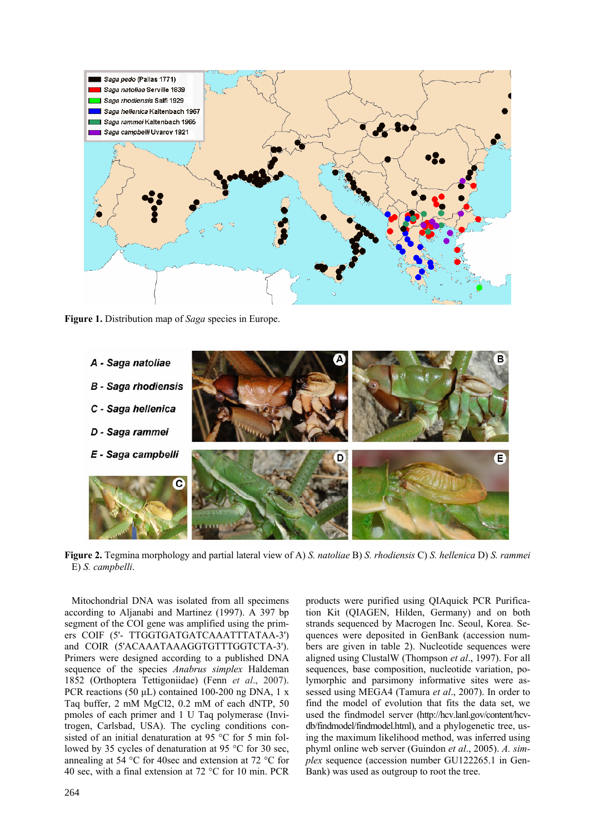

**Figure 1.** Distribution map of *Saga* species in Europe.



**Figure 2.** Tegmina morphology and partial lateral view of A) *S. natoliae* B) *S. rhodiensis* C) *S. hellenica* D) *S. rammei* E) *S. campbelli*.

Mitochondrial DNA was isolated from all specimens according to Aljanabi and Martinez (1997). A 397 bp segment of the COI gene was amplified using the primers COIF (5'- TTGGTGATGATCAAATTTATAA-3') and COIR (5'ACAAATAAAGGTGTTTGGTCTA-3'). Primers were designed according to a published DNA sequence of the species *Anabrus simplex* Haldeman 1852 (Orthoptera Tettigoniidae) (Fenn *et al*., 2007). PCR reactions (50 µL) contained 100-200 ng DNA, 1 x Taq buffer, 2 mM MgCl2, 0.2 mM of each dNTP, 50 pmoles of each primer and 1 U Taq polymerase (Invitrogen, Carlsbad, USA). The cycling conditions consisted of an initial denaturation at 95 °C for 5 min followed by 35 cycles of denaturation at 95 °C for 30 sec, annealing at 54 °C for 40sec and extension at 72 °C for 40 sec, with a final extension at 72  $\rm{^{\circ}C}$  for 10 min. PCR

products were purified using QIAquick PCR Purification Kit (QIAGEN, Hilden, Germany) and on both strands sequenced by Macrogen Inc. Seoul, Korea. Sequences were deposited in GenBank (accession numbers are given in table 2). Nucleotide sequences were aligned using ClustalW (Thompson *et al*., 1997). For all sequences, base composition, nucleotide variation, polymorphic and parsimony informative sites were assessed using MEGA4 (Tamura *et al*., 2007). In order to find the model of evolution that fits the data set, we used the findmodel server (http://hcv.lanl.gov/content/hcvdb/findmodel/findmodel.html), and a phylogenetic tree, using the maximum likelihood method, was inferred using phyml online web server (Guindon *et al*., 2005). *A. simplex* sequence (accession number GU122265.1 in Gen-Bank) was used as outgroup to root the tree.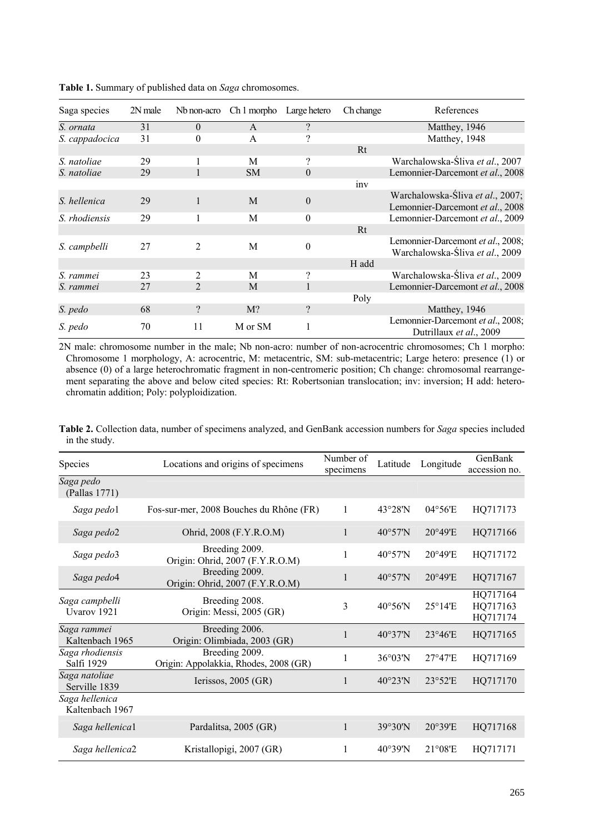| Saga species   | 2N male | Nb non-acro    | Ch 1 morpho  | Large hetero             | Ch change | References                                                           |  |
|----------------|---------|----------------|--------------|--------------------------|-----------|----------------------------------------------------------------------|--|
| S. ornata      | 31      | $\Omega$       | $\mathsf{A}$ | $\overline{\mathcal{L}}$ |           | Matthey, 1946                                                        |  |
| S. cappadocica | 31      | $\theta$       | A            | ?                        |           | Matthey, 1948                                                        |  |
|                |         |                |              |                          | Rt        |                                                                      |  |
| S. natoliae    | 29      |                | M            | ?                        |           | Warchalowska-Śliva et al., 2007                                      |  |
| S. natoliae    | 29      |                | <b>SM</b>    | $\theta$                 |           | Lemonnier-Darcemont et al., 2008                                     |  |
|                |         |                |              |                          | inv       |                                                                      |  |
| S. hellenica   | 29      | $\mathbf{1}$   | M            | $\theta$                 |           | Warchalowska-Śliva et al., 2007;<br>Lemonnier-Darcemont et al., 2008 |  |
| S. rhodiensis  | 29      |                | M            | $\theta$                 |           | Lemonnier-Darcemont et al., 2009                                     |  |
|                |         |                |              |                          | Rt        |                                                                      |  |
| S. campbelli   | 27      | 2              | M            | $\overline{0}$           |           | Lemonnier-Darcemont et al., 2008;<br>Warchalowska-Śliva et al., 2009 |  |
|                |         |                |              |                          | H add     |                                                                      |  |
| S. rammei      | 23      | $\overline{c}$ | M            | 9                        |           | Warchalowska-Śliva et al., 2009                                      |  |
| S. rammei      | 27      | $\mathfrak{D}$ | M            |                          |           | Lemonnier-Darcemont et al., 2008                                     |  |
|                |         |                |              |                          | Poly      |                                                                      |  |
| S. pedo        | 68      | $\gamma$       | $M$ ?        | $\gamma$                 |           | Matthey, 1946                                                        |  |
| S. pedo        | 70      | 11             | M or SM      |                          |           | Lemonnier-Darcemont et al., 2008;<br>Dutrillaux et al., 2009         |  |

**Table 1.** Summary of published data on *Saga* chromosomes.

2N male: chromosome number in the male; Nb non-acro: number of non-acrocentric chromosomes; Ch 1 morpho: Chromosome 1 morphology, A: acrocentric, M: metacentric, SM: sub-metacentric; Large hetero: presence (1) or absence (0) of a large heterochromatic fragment in non-centromeric position; Ch change: chromosomal rearrangement separating the above and below cited species: Rt: Robertsonian translocation; inv: inversion; H add: heterochromatin addition; Poly: polyploidization.

| in the study. | Table 2. Collection data, number of specimens analyzed, and GenBank accession numbers for Saga species included |         |
|---------------|-----------------------------------------------------------------------------------------------------------------|---------|
|               | Number of                                                                                                       | GapPart |

| Species                           | Locations and origins of specimens                      | Number of<br>specimens | Latitude          | Longitude         | GenBank<br>accession no.         |
|-----------------------------------|---------------------------------------------------------|------------------------|-------------------|-------------------|----------------------------------|
| Saga pedo<br>(Pallas 1771)        |                                                         |                        |                   |                   |                                  |
| Saga pedo1                        | Fos-sur-mer, 2008 Bouches du Rhône (FR)                 | 1                      | $43^{\circ}28'$ N | 04°56'E           | HQ717173                         |
| Saga pedo2                        | Ohrid, 2008 (F.Y.R.O.M)                                 | $\mathbf{1}$           | $40^{\circ}57'$ N | 20°49'E           | HQ717166                         |
| Saga pedo3                        | Breeding 2009.<br>Origin: Ohrid, 2007 (F.Y.R.O.M)       | 1                      | $40^{\circ}57'$ N | $20^{\circ}49'E$  | HQ717172                         |
| Saga pedo4                        | Breeding 2009.<br>Origin: Ohrid, 2007 (F.Y.R.O.M)       | $\mathbf{1}$           | $40^{\circ}57'$ N | $20^{\circ}49'E$  | HQ717167                         |
| Saga campbelli<br>Uvarov 1921     | Breeding 2008.<br>Origin: Messi, 2005 (GR)              | 3                      | 40°56'N           | $25^{\circ}14'E$  | HQ717164<br>HQ717163<br>HQ717174 |
| Saga rammei<br>Kaltenbach 1965    | Breeding 2006.<br>Origin: Olimbiada, 2003 (GR)          | $\mathbf{1}$           | $40^{\circ}37'$ N | 23°46'E           | HQ717165                         |
| Saga rhodiensis<br>Salfi 1929     | Breeding 2009.<br>Origin: Appolakkia, Rhodes, 2008 (GR) | 1                      | $36^{\circ}03'$ N | 27°47'E           | HQ717169                         |
| Saga natoliae<br>Serville 1839    | Ierissos, $2005$ (GR)                                   | $\mathbf{1}$           | $40^{\circ}23'$ N | 23°52'E           | HQ717170                         |
| Saga hellenica<br>Kaltenbach 1967 |                                                         |                        |                   |                   |                                  |
| Saga hellenical                   | Pardalitsa, 2005 (GR)                                   | $\mathbf{1}$           | 39°30'N           | 20°39'E           | HQ717168                         |
| Saga hellenica2                   | Kristallopigi, 2007 (GR)                                | 1                      | $40^{\circ}39'$ N | $21^{\circ}08$ 'E | HQ717171                         |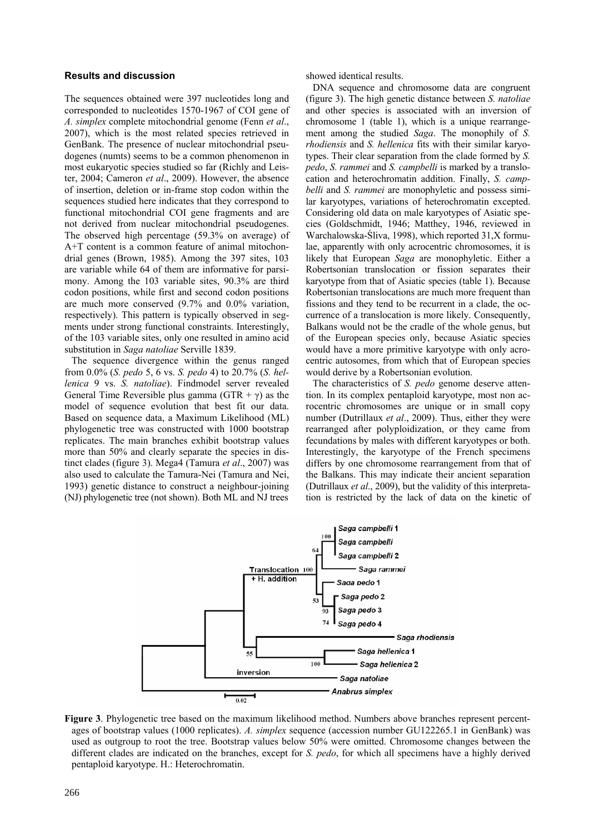## **Results and discussion**

The sequences obtained were 397 nucleotides long and corresponded to nucleotides 1570-1967 of COI gene of *A. simplex* complete mitochondrial genome (Fenn *et al*., 2007), which is the most related species retrieved in GenBank. The presence of nuclear mitochondrial pseudogenes (numts) seems to be a common phenomenon in most eukaryotic species studied so far (Richly and Leister, 2004; Cameron *et al*., 2009). However, the absence of insertion, deletion or in-frame stop codon within the sequences studied here indicates that they correspond to functional mitochondrial COI gene fragments and are not derived from nuclear mitochondrial pseudogenes. The observed high percentage (59.3% on average) of A+T content is a common feature of animal mitochondrial genes (Brown, 1985). Among the 397 sites, 103 are variable while 64 of them are informative for parsimony. Among the 103 variable sites, 90.3% are third codon positions, while first and second codon positions are much more conserved (9.7% and 0.0% variation, respectively). This pattern is typically observed in segments under strong functional constraints. Interestingly, of the 103 variable sites, only one resulted in amino acid substitution in *Saga natoliae* Serville 1839.

The sequence divergence within the genus ranged from 0.0% (*S. pedo* 5, 6 vs. *S. pedo* 4) to 20.7% (*S. hellenica* 9 vs. *S. natoliae*). Findmodel server revealed General Time Reversible plus gamma (GTR +  $\gamma$ ) as the model of sequence evolution that best fit our data. Based on sequence data, a Maximum Likelihood (ML) phylogenetic tree was constructed with 1000 bootstrap replicates. The main branches exhibit bootstrap values more than 50% and clearly separate the species in distinct clades (figure 3). Mega4 (Tamura *et al*., 2007) was also used to calculate the Tamura-Nei (Tamura and Nei, 1993) genetic distance to construct a neighbour-joining (NJ) phylogenetic tree (not shown). Both ML and NJ trees showed identical results.

DNA sequence and chromosome data are congruent (figure 3). The high genetic distance between *S. natoliae* and other species is associated with an inversion of chromosome 1 (table 1), which is a unique rearrangement among the studied *Saga*. The monophily of *S. rhodiensis* and *S. hellenica* fits with their similar karyotypes. Their clear separation from the clade formed by *S. pedo*, *S. rammei* and *S. campbelli* is marked by a translocation and heterochromatin addition. Finally, *S. campbelli* and *S. rammei* are monophyletic and possess similar karyotypes, variations of heterochromatin excepted. Considering old data on male karyotypes of Asiatic species (Goldschmidt, 1946; Matthey, 1946, reviewed in Warchalowska-Śliva, 1998), which reported 31,X formulae, apparently with only acrocentric chromosomes, it is likely that European *Saga* are monophyletic. Either a Robertsonian translocation or fission separates their karyotype from that of Asiatic species (table 1). Because Robertsonian translocations are much more frequent than fissions and they tend to be recurrent in a clade, the occurrence of a translocation is more likely. Consequently, Balkans would not be the cradle of the whole genus, but of the European species only, because Asiatic species would have a more primitive karyotype with only acrocentric autosomes, from which that of European species would derive by a Robertsonian evolution.

The characteristics of *S. pedo* genome deserve attention. In its complex pentaploid karyotype, most non acrocentric chromosomes are unique or in small copy number (Dutrillaux *et al*., 2009). Thus, either they were rearranged after polyploidization, or they came from fecundations by males with different karyotypes or both. Interestingly, the karyotype of the French specimens differs by one chromosome rearrangement from that of the Balkans. This may indicate their ancient separation (Dutrillaux *et al*., 2009), but the validity of this interpretation is restricted by the lack of data on the kinetic of



**Figure 3**. Phylogenetic tree based on the maximum likelihood method. Numbers above branches represent percentages of bootstrap values (1000 replicates). *A. simplex* sequence (accession number GU122265.1 in GenBank) was used as outgroup to root the tree. Bootstrap values below 50% were omitted. Chromosome changes between the different clades are indicated on the branches, except for *S. pedo*, for which all specimens have a highly derived pentaploid karyotype. H.: Heterochromatin.